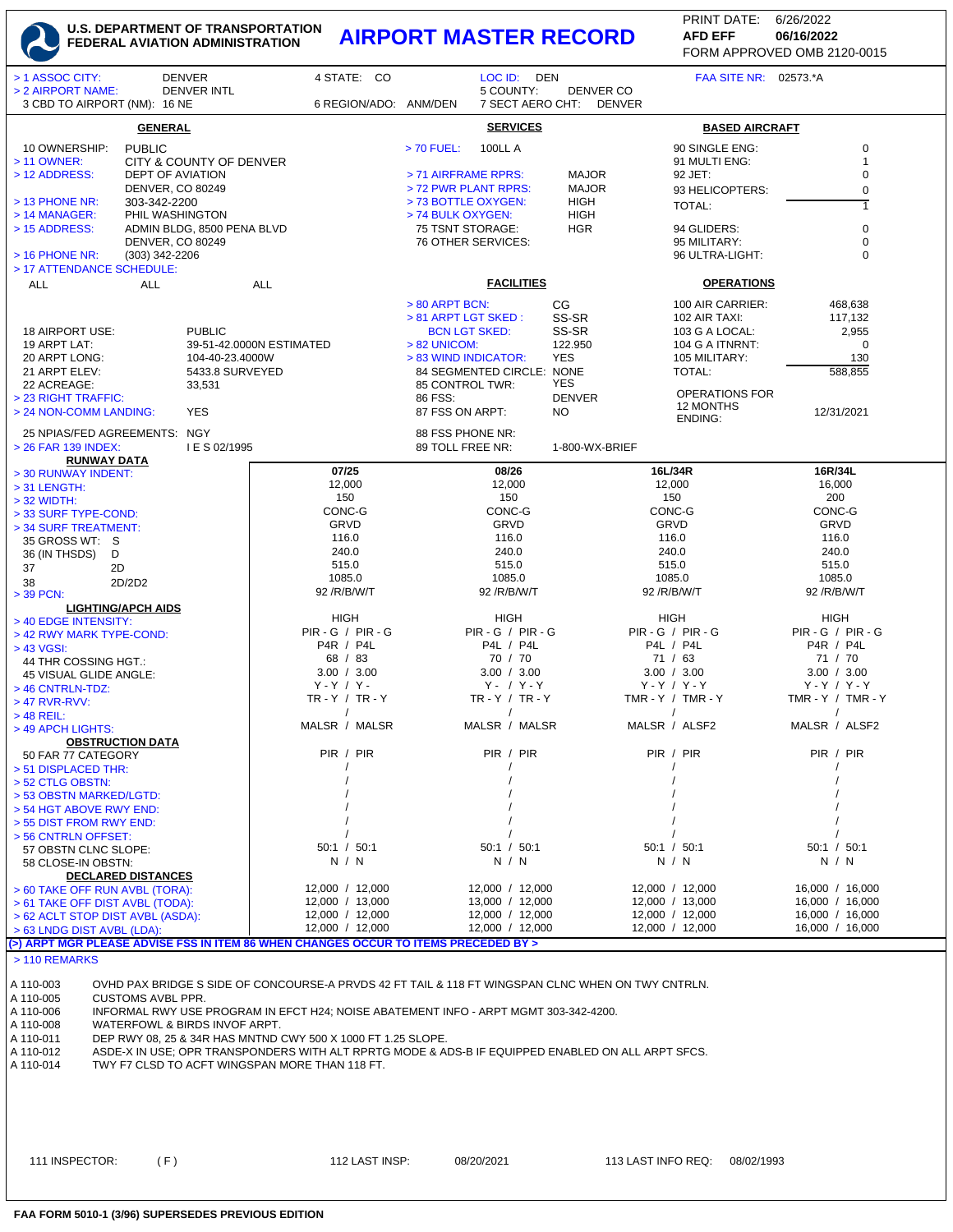## **U.S. DEPARTMENT OF TRANSPORTATION FEDERAL AVIATION ADMINISTRATION AIRPORT MASTER RECORD AFD EFF 06/16/2022**

FORM APPROVED OMB 2120-0015 PRINT DATE: 6/26/2022 **AFD EFF**

| > 1 ASSOC CITY:                                                                                                         |                                                                                      | <b>DENVER</b>           | 4 STATE: CO                                                                                            | LOC ID: DEN                                       |                                  |                               | FAA SITE NR: 02573.*A          |  |  |  |  |
|-------------------------------------------------------------------------------------------------------------------------|--------------------------------------------------------------------------------------|-------------------------|--------------------------------------------------------------------------------------------------------|---------------------------------------------------|----------------------------------|-------------------------------|--------------------------------|--|--|--|--|
| > 2 AIRPORT NAME:                                                                                                       |                                                                                      | <b>DENVER INTL</b>      |                                                                                                        | 5 COUNTY:                                         | DENVER CO<br>7 SECT AERO CHT:    |                               |                                |  |  |  |  |
| 3 CBD TO AIRPORT (NM): 16 NE                                                                                            |                                                                                      |                         | 6 REGION/ADO: ANM/DEN                                                                                  |                                                   |                                  | DENVER                        |                                |  |  |  |  |
|                                                                                                                         | <b>GENERAL</b>                                                                       |                         |                                                                                                        | <b>SERVICES</b>                                   |                                  |                               | <b>BASED AIRCRAFT</b>          |  |  |  |  |
| 10 OWNERSHIP:                                                                                                           | <b>PUBLIC</b>                                                                        |                         |                                                                                                        | $> 70$ FUEL:<br><b>100LL A</b>                    |                                  | 90 SINGLE ENG:                | $\mathbf 0$                    |  |  |  |  |
| > 11 OWNER:                                                                                                             |                                                                                      | CITY & COUNTY OF DENVER |                                                                                                        |                                                   |                                  | 91 MULTI ENG:                 | $\mathbf{1}$                   |  |  |  |  |
| > 12 ADDRESS:                                                                                                           | <b>DEPT OF AVIATION</b>                                                              |                         |                                                                                                        | > 71 AIRFRAME RPRS:                               | <b>MAJOR</b>                     | 92 JET:                       | $\mathbf 0$                    |  |  |  |  |
|                                                                                                                         | DENVER, CO 80249                                                                     |                         |                                                                                                        | > 72 PWR PLANT RPRS:                              | <b>MAJOR</b>                     |                               | $\mathbf 0$<br>93 HELICOPTERS: |  |  |  |  |
| $>$ 13 PHONE NR:<br>$> 14$ MANAGER:                                                                                     | 303-342-2200                                                                         |                         |                                                                                                        | > 73 BOTTLE OXYGEN:<br>> 74 BULK OXYGEN:          | <b>HIGH</b><br><b>HIGH</b>       | <b>TOTAL:</b>                 |                                |  |  |  |  |
| PHIL WASHINGTON<br>ADMIN BLDG, 8500 PENA BLVD<br>> 15 ADDRESS:                                                          |                                                                                      |                         |                                                                                                        | 75 TSNT STORAGE:                                  | <b>HGR</b>                       | 94 GLIDERS:                   | $\pmb{0}$                      |  |  |  |  |
| <b>DENVER, CO 80249</b>                                                                                                 |                                                                                      |                         |                                                                                                        | 76 OTHER SERVICES:                                |                                  | 95 MILITARY:                  | $\mathbf 0$                    |  |  |  |  |
| $>$ 16 PHONE NR:<br>(303) 342-2206                                                                                      |                                                                                      |                         |                                                                                                        |                                                   |                                  | 96 ULTRA-LIGHT:               | $\mathbf 0$                    |  |  |  |  |
| > 17 ATTENDANCE SCHEDULE:                                                                                               |                                                                                      |                         |                                                                                                        |                                                   |                                  |                               |                                |  |  |  |  |
| <b>ALL</b>                                                                                                              | <b>ALL</b>                                                                           |                         | <b>ALL</b>                                                                                             | <b>FACILITIES</b>                                 |                                  |                               | <b>OPERATIONS</b>              |  |  |  |  |
|                                                                                                                         |                                                                                      |                         |                                                                                                        | $> 80$ ARPT BCN:                                  | CG                               |                               | 100 AIR CARRIER:<br>468,638    |  |  |  |  |
|                                                                                                                         |                                                                                      |                         |                                                                                                        | > 81 ARPT LGT SKED:                               | SS-SR                            | 102 AIR TAXI:                 | 117,132                        |  |  |  |  |
| <b>PUBLIC</b><br>18 AIRPORT USE:                                                                                        |                                                                                      |                         |                                                                                                        | <b>BCN LGT SKED:</b>                              | SS-SR                            | 103 G A LOCAL:                | 2,955                          |  |  |  |  |
| 19 ARPT LAT:<br>39-51-42.0000N ESTIMATED<br>20 ARPT LONG:<br>104-40-23.4000W                                            |                                                                                      |                         | $> 82$ UNICOM:                                                                                         | 122.950<br><b>YES</b>                             | 104 G A ITNRNT:<br>105 MILITARY: | $\overline{0}$<br>130         |                                |  |  |  |  |
| 21 ARPT ELEV:                                                                                                           |                                                                                      | 5433.8 SURVEYED         |                                                                                                        | > 83 WIND INDICATOR:<br>84 SEGMENTED CIRCLE: NONE |                                  | TOTAL:                        | 588,855                        |  |  |  |  |
| 22 ACREAGE:                                                                                                             |                                                                                      | 33,531                  |                                                                                                        | <b>YES</b><br>85 CONTROL TWR:                     |                                  |                               |                                |  |  |  |  |
| > 23 RIGHT TRAFFIC:                                                                                                     |                                                                                      |                         |                                                                                                        | 86 FSS:                                           | <b>DENVER</b>                    | 12 MONTHS                     | <b>OPERATIONS FOR</b>          |  |  |  |  |
| > 24 NON-COMM LANDING:                                                                                                  |                                                                                      | <b>YES</b>              |                                                                                                        | 87 FSS ON ARPT:                                   | NO.                              | ENDING:                       | 12/31/2021                     |  |  |  |  |
| 25 NPIAS/FED AGREEMENTS: NGY                                                                                            |                                                                                      |                         |                                                                                                        | 88 FSS PHONE NR:                                  |                                  |                               |                                |  |  |  |  |
| > 26 FAR 139 INDEX:                                                                                                     |                                                                                      | I E S 02/1995           |                                                                                                        | 89 TOLL FREE NR:                                  | 1-800-WX-BRIEF                   |                               |                                |  |  |  |  |
| <b>RUNWAY DATA</b>                                                                                                      |                                                                                      |                         | 07/25                                                                                                  | 08/26                                             |                                  | 16L/34R                       | 16R/34L                        |  |  |  |  |
| > 30 RUNWAY INDENT:                                                                                                     |                                                                                      |                         | 12,000                                                                                                 | 12,000                                            |                                  | 12,000                        | 16,000                         |  |  |  |  |
| $>$ 31 LENGTH:<br>$>$ 32 WIDTH:                                                                                         |                                                                                      |                         | 150                                                                                                    | 150                                               |                                  | 150                           | 200                            |  |  |  |  |
| > 33 SURF TYPE-COND:                                                                                                    |                                                                                      |                         | CONC-G                                                                                                 | CONC-G                                            |                                  | CONC-G                        | CONC-G                         |  |  |  |  |
| > 34 SURF TREATMENT:                                                                                                    |                                                                                      |                         | GRVD                                                                                                   | GRVD                                              |                                  | GRVD                          | GRVD                           |  |  |  |  |
| 35 GROSS WT: S                                                                                                          |                                                                                      |                         | 116.0                                                                                                  | 116.0                                             |                                  | 116.0                         | 116.0                          |  |  |  |  |
| 36 (IN THSDS)<br>D                                                                                                      |                                                                                      |                         | 240.0                                                                                                  | 240.0                                             |                                  | 240.0                         | 240.0                          |  |  |  |  |
| 37<br>2D                                                                                                                |                                                                                      |                         | 515.0<br>1085.0                                                                                        | 515.0<br>1085.0                                   |                                  | 515.0<br>1085.0               | 515.0<br>1085.0                |  |  |  |  |
| 38<br>> 39 PCN:                                                                                                         | 2D/2D2                                                                               |                         | 92 / R/ B/ W/ T                                                                                        | 92 / R/ B/ W/ T                                   |                                  | 92 /R/B/W/T                   | 92 / R/ B/ W/ T                |  |  |  |  |
|                                                                                                                         | <b>LIGHTING/APCH AIDS</b>                                                            |                         |                                                                                                        |                                                   |                                  |                               |                                |  |  |  |  |
| > 40 EDGE INTENSITY:                                                                                                    |                                                                                      |                         | HIGH                                                                                                   | HIGH                                              |                                  | HIGH                          | HIGH                           |  |  |  |  |
| > 42 RWY MARK TYPE-COND:                                                                                                |                                                                                      |                         | $PIR - G / PIR - G$                                                                                    | $PIR - G / PIR - G$                               |                                  | <b>PIR - G / PIR - G</b>      | $PIR - G / PIR - G$            |  |  |  |  |
| $> 43$ VGSI:                                                                                                            |                                                                                      |                         | P4R / P4L<br>68 / 83                                                                                   | P4L / P4L                                         |                                  | P4L / P4L<br>71 / 63          | P4R / P4L<br>71 / 70           |  |  |  |  |
| 44 THR COSSING HGT.:                                                                                                    |                                                                                      | 3.00 / 3.00             | 70 / 70<br>3.00 / 3.00                                                                                 |                                                   | 3.00 / 3.00                      | 3.00 / 3.00                   |                                |  |  |  |  |
| 45 VISUAL GLIDE ANGLE:<br>> 46 CNTRLN-TDZ:                                                                              |                                                                                      | $Y - Y / Y -$           | $Y - / Y - Y$                                                                                          |                                                   | $Y - Y / Y - Y$                  | $Y - Y / Y - Y$               |                                |  |  |  |  |
| $>47$ RVR-RVV:                                                                                                          |                                                                                      | $TR - Y / TR - Y$       | $TR - Y / TR - Y$                                                                                      |                                                   | TMR-Y / TMR-Y                    | TMR - Y / TMR - Y             |                                |  |  |  |  |
| $>$ 48 REIL:                                                                                                            |                                                                                      | $\prime$                | $\prime$                                                                                               |                                                   | $\prime$                         | $\sqrt{2}$                    |                                |  |  |  |  |
| > 49 APCH LIGHTS:                                                                                                       |                                                                                      | MALSR / MALSR           | MALSR / MALSR                                                                                          |                                                   | MALSR / ALSF2                    | MALSR / ALSF2                 |                                |  |  |  |  |
| <b>OBSTRUCTION DATA</b>                                                                                                 |                                                                                      | PIR / PIR               | PIR / PIR                                                                                              |                                                   | PIR / PIR                        | PIR / PIR                     |                                |  |  |  |  |
| 50 FAR 77 CATEGORY<br>> 51 DISPLACED THR:                                                                               |                                                                                      |                         |                                                                                                        |                                                   |                                  |                               |                                |  |  |  |  |
| > 52 CTLG OBSTN:                                                                                                        |                                                                                      |                         |                                                                                                        |                                                   |                                  |                               |                                |  |  |  |  |
| > 53 OBSTN MARKED/LGTD:                                                                                                 |                                                                                      |                         |                                                                                                        |                                                   |                                  |                               |                                |  |  |  |  |
| > 54 HGT ABOVE RWY END:                                                                                                 |                                                                                      |                         |                                                                                                        |                                                   |                                  |                               |                                |  |  |  |  |
| > 55 DIST FROM RWY END:                                                                                                 |                                                                                      |                         |                                                                                                        |                                                   |                                  |                               |                                |  |  |  |  |
| > 56 CNTRLN OFFSET:                                                                                                     |                                                                                      |                         | 50:1 / 50:1                                                                                            | 50:1 / 50:1                                       |                                  | 50:1 / 50:1                   | 50:1 / 50:1                    |  |  |  |  |
| 57 OBSTN CLNC SLOPE:<br>58 CLOSE-IN OBSTN:                                                                              |                                                                                      |                         | N / N                                                                                                  | N / N                                             |                                  | N / N                         | N / N                          |  |  |  |  |
|                                                                                                                         | <b>DECLARED DISTANCES</b>                                                            |                         |                                                                                                        |                                                   |                                  |                               |                                |  |  |  |  |
| > 60 TAKE OFF RUN AVBL (TORA):                                                                                          |                                                                                      |                         | 12,000 / 12,000                                                                                        | 12,000 / 12,000                                   |                                  | 12,000 / 12,000               | 16,000 / 16,000                |  |  |  |  |
| > 61 TAKE OFF DIST AVBL (TODA):                                                                                         |                                                                                      |                         | 12,000 / 13,000                                                                                        | 13,000 / 12,000                                   |                                  | 12,000 / 13,000               | 16,000 / 16,000                |  |  |  |  |
| > 62 ACLT STOP DIST AVBL (ASDA):                                                                                        |                                                                                      |                         | 12,000 / 12,000                                                                                        | 12,000 / 12,000                                   |                                  | 12,000 / 12,000               | 16,000 / 16,000                |  |  |  |  |
| > 63 LNDG DIST AVBL (LDA):                                                                                              |                                                                                      |                         | 12,000 / 12,000<br>(>) ARPT MGR PLEASE ADVISE FSS IN ITEM 86 WHEN CHANGES OCCUR TO ITEMS PRECEDED BY > | 12,000 / 12,000                                   |                                  | 12,000 / 12,000               | 16,000 / 16,000                |  |  |  |  |
| > 110 REMARKS                                                                                                           |                                                                                      |                         |                                                                                                        |                                                   |                                  |                               |                                |  |  |  |  |
|                                                                                                                         |                                                                                      |                         |                                                                                                        |                                                   |                                  |                               |                                |  |  |  |  |
| A 110-003                                                                                                               |                                                                                      |                         | OVHD PAX BRIDGE S SIDE OF CONCOURSE-A PRVDS 42 FT TAIL & 118 FT WINGSPAN CLNC WHEN ON TWY CNTRLN.      |                                                   |                                  |                               |                                |  |  |  |  |
| A 110-005                                                                                                               | <b>CUSTOMS AVBL PPR.</b>                                                             |                         |                                                                                                        |                                                   |                                  |                               |                                |  |  |  |  |
| A 110-006                                                                                                               | INFORMAL RWY USE PROGRAM IN EFCT H24; NOISE ABATEMENT INFO - ARPT MGMT 303-342-4200. |                         |                                                                                                        |                                                   |                                  |                               |                                |  |  |  |  |
| A 110-008<br>WATERFOWL & BIRDS INVOF ARPT.<br>A 110-011<br>DEP RWY 08, 25 & 34R HAS MNTND CWY 500 X 1000 FT 1.25 SLOPE. |                                                                                      |                         |                                                                                                        |                                                   |                                  |                               |                                |  |  |  |  |
| ASDE-X IN USE; OPR TRANSPONDERS WITH ALT RPRTG MODE & ADS-B IF EQUIPPED ENABLED ON ALL ARPT SFCS.<br>A 110-012          |                                                                                      |                         |                                                                                                        |                                                   |                                  |                               |                                |  |  |  |  |
| A 110-014                                                                                                               |                                                                                      |                         | TWY F7 CLSD TO ACFT WINGSPAN MORE THAN 118 FT.                                                         |                                                   |                                  |                               |                                |  |  |  |  |
|                                                                                                                         |                                                                                      |                         |                                                                                                        |                                                   |                                  |                               |                                |  |  |  |  |
|                                                                                                                         |                                                                                      |                         |                                                                                                        |                                                   |                                  |                               |                                |  |  |  |  |
|                                                                                                                         |                                                                                      |                         |                                                                                                        |                                                   |                                  |                               |                                |  |  |  |  |
|                                                                                                                         |                                                                                      |                         |                                                                                                        |                                                   |                                  |                               |                                |  |  |  |  |
|                                                                                                                         |                                                                                      |                         |                                                                                                        |                                                   |                                  |                               |                                |  |  |  |  |
| 111 INSPECTOR:                                                                                                          | (F)                                                                                  |                         | 112 LAST INSP:                                                                                         | 08/20/2021                                        |                                  | 113 LAST INFO REQ: 08/02/1993 |                                |  |  |  |  |